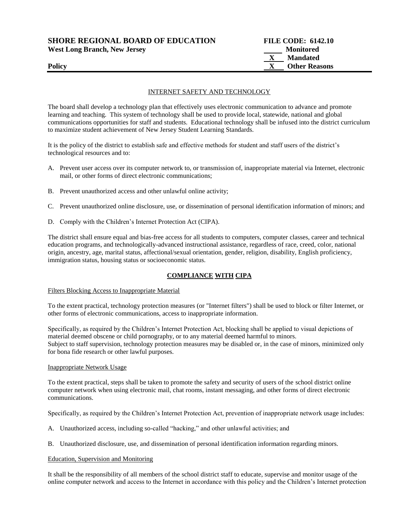| <b>SHORE REGIONAL BOARD OF EDUCATION</b> | <b>FILE CODE: 6142.10</b> |
|------------------------------------------|---------------------------|
| <b>West Long Branch, New Jersey</b>      | Monitored                 |
|                                          | <b>Mandated</b>           |
| <b>Policy</b>                            | <b>Other Reasons</b>      |

#### INTERNET SAFETY AND TECHNOLOGY

The board shall develop a technology plan that effectively uses electronic communication to advance and promote learning and teaching. This system of technology shall be used to provide local, statewide, national and global communications opportunities for staff and students. Educational technology shall be infused into the district curriculum to maximize student achievement of New Jersey Student Learning Standards.

It is the policy of the district to establish safe and effective methods for student and staff users of the district's technological resources and to:

- A. Prevent user access over its computer network to, or transmission of, inappropriate material via Internet, electronic mail, or other forms of direct electronic communications;
- B. Prevent unauthorized access and other unlawful online activity;
- C. Prevent unauthorized online disclosure, use, or dissemination of personal identification information of minors; and
- D. Comply with the Children's Internet Protection Act (CIPA).

The district shall ensure equal and bias-free access for all students to computers, computer classes, career and technical education programs, and technologically-advanced instructional assistance, regardless of race, creed, color, national origin, ancestry, age, marital status, affectional/sexual orientation, gender, religion, disability, English proficiency, immigration status, housing status or socioeconomic status.

#### **COMPLIANCE WITH CIPA**

#### Filters Blocking Access to Inappropriate Material

To the extent practical, technology protection measures (or "Internet filters") shall be used to block or filter Internet, or other forms of electronic communications, access to inappropriate information.

Specifically, as required by the Children's Internet Protection Act, blocking shall be applied to visual depictions of material deemed obscene or child pornography, or to any material deemed harmful to minors. Subject to staff supervision, technology protection measures may be disabled or, in the case of minors, minimized only for bona fide research or other lawful purposes.

#### Inappropriate Network Usage

To the extent practical, steps shall be taken to promote the safety and security of users of the school district online computer network when using electronic mail, chat rooms, instant messaging, and other forms of direct electronic communications.

Specifically, as required by the Children's Internet Protection Act, prevention of inappropriate network usage includes:

- A. Unauthorized access, including so-called "hacking," and other unlawful activities; and
- B. Unauthorized disclosure, use, and dissemination of personal identification information regarding minors.

#### Education, Supervision and Monitoring

It shall be the responsibility of all members of the school district staff to educate, supervise and monitor usage of the online computer network and access to the Internet in accordance with this policy and the Children's Internet protection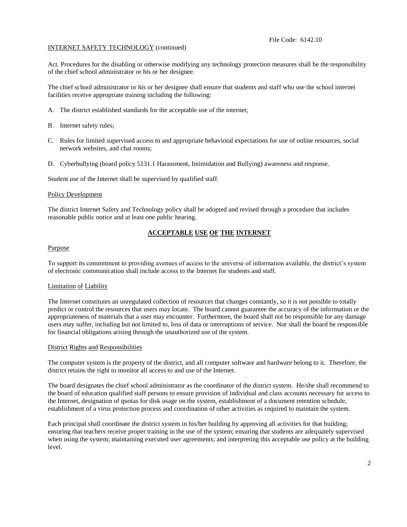## INTERNET SAFETY TECHNOLOGY (continued)

Act. Procedures for the disabling or otherwise modifying any technology protection measures shall be the responsibility of the chief school administrator or his or her designee.

The chief school administrator or his or her designee shall ensure that students and staff who use the school internet facilities receive appropriate training including the following:

- A. The district established standards for the acceptable use of the internet;
- B. Internet safety rules;
- C. Rules for limited supervised access to and appropriate behavioral expectations for use of online resources, social network websites, and chat rooms;
- D. Cyberbullying (board policy 5131.1 Harassment, Intimidation and Bullying) awareness and response.

Student use of the Internet shall be supervised by qualified staff.

#### Policy Development

The district Internet Safety and Technology policy shall be adopted and revised through a procedure that includes reasonable public notice and at least one public hearing.

# **ACCEPTABLE USE OF THE INTERNET**

#### Purpose

To support its commitment to providing avenues of access to the universe of information available, the district's system of electronic communication shall include access to the Internet for students and staff.

#### Limitation of Liability

The Internet constitutes an unregulated collection of resources that changes constantly, so it is not possible to totally predict or control the resources that users may locate. The board cannot guarantee the accuracy of the information or the appropriateness of materials that a user may encounter. Furthermore, the board shall not be responsible for any damage users may suffer, including but not limited to, loss of data or interruptions of service. Nor shall the board be responsible for financial obligations arising through the unauthorized use of the system.

#### District Rights and Responsibilities

The computer system is the property of the district, and all computer software and hardware belong to it. Therefore, the district retains the right to monitor all access to and use of the Internet.

The board designates the chief school administrator as the coordinator of the district system. He/she shall recommend to the board of education qualified staff persons to ensure provision of individual and class accounts necessary for access to the Internet, designation of quotas for disk usage on the system, establishment of a document retention schedule, establishment of a virus protection process and coordination of other activities as required to maintain the system.

Each principal shall coordinate the district system in his/her building by approving all activities for that building; ensuring that teachers receive proper training in the use of the system; ensuring that students are adequately supervised when using the system; maintaining executed user agreements; and interpreting this acceptable use policy at the building level.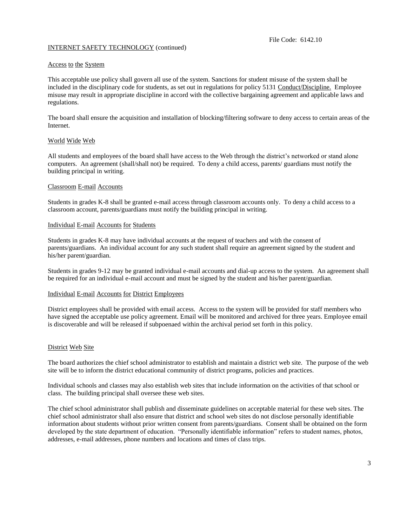## INTERNET SAFETY TECHNOLOGY (continued)

#### Access to the System

This acceptable use policy shall govern all use of the system. Sanctions for student misuse of the system shall be included in the disciplinary code for students, as set out in regulations for policy 5131 Conduct/Discipline. Employee misuse may result in appropriate discipline in accord with the collective bargaining agreement and applicable laws and regulations.

The board shall ensure the acquisition and installation of blocking/filtering software to deny access to certain areas of the Internet.

#### World Wide Web

All students and employees of the board shall have access to the Web through the district's networked or stand alone computers. An agreement (shall/shall not) be required. To deny a child access, parents/ guardians must notify the building principal in writing.

#### Classroom E-mail Accounts

Students in grades K-8 shall be granted e-mail access through classroom accounts only. To deny a child access to a classroom account, parents/guardians must notify the building principal in writing.

#### Individual E-mail Accounts for Students

Students in grades K-8 may have individual accounts at the request of teachers and with the consent of parents/guardians. An individual account for any such student shall require an agreement signed by the student and his/her parent/guardian.

Students in grades 9-12 may be granted individual e-mail accounts and dial-up access to the system. An agreement shall be required for an individual e-mail account and must be signed by the student and his/her parent/guardian.

## Individual E-mail Accounts for District Employees

District employees shall be provided with email access. Access to the system will be provided for staff members who have signed the acceptable use policy agreement. Email will be monitored and archived for three years. Employee email is discoverable and will be released if subpoenaed within the archival period set forth in this policy.

#### District Web Site

The board authorizes the chief school administrator to establish and maintain a district web site. The purpose of the web site will be to inform the district educational community of district programs, policies and practices.

Individual schools and classes may also establish web sites that include information on the activities of that school or class. The building principal shall oversee these web sites.

The chief school administrator shall publish and disseminate guidelines on acceptable material for these web sites. The chief school administrator shall also ensure that district and school web sites do not disclose personally identifiable information about students without prior written consent from parents/guardians. Consent shall be obtained on the form developed by the state department of education. "Personally identifiable information" refers to student names, photos, addresses, e-mail addresses, phone numbers and locations and times of class trips.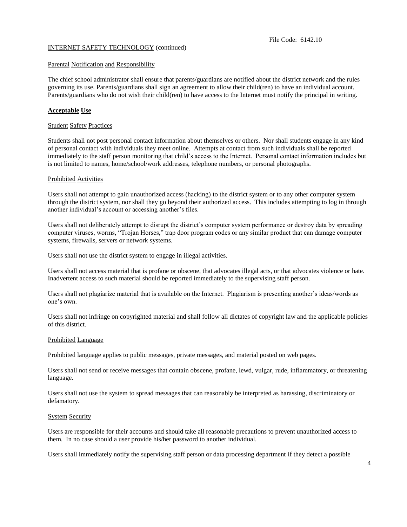File Code: 6142.10

### INTERNET SAFETY TECHNOLOGY (continued)

#### Parental Notification and Responsibility

The chief school administrator shall ensure that parents/guardians are notified about the district network and the rules governing its use. Parents/guardians shall sign an agreement to allow their child(ren) to have an individual account. Parents/guardians who do not wish their child(ren) to have access to the Internet must notify the principal in writing.

## **Acceptable Use**

#### **Student Safety Practices**

Students shall not post personal contact information about themselves or others. Nor shall students engage in any kind of personal contact with individuals they meet online. Attempts at contact from such individuals shall be reported immediately to the staff person monitoring that child's access to the Internet. Personal contact information includes but is not limited to names, home/school/work addresses, telephone numbers, or personal photographs.

#### Prohibited Activities

Users shall not attempt to gain unauthorized access (hacking) to the district system or to any other computer system through the district system, nor shall they go beyond their authorized access. This includes attempting to log in through another individual's account or accessing another's files.

Users shall not deliberately attempt to disrupt the district's computer system performance or destroy data by spreading computer viruses, worms, "Trojan Horses," trap door program codes or any similar product that can damage computer systems, firewalls, servers or network systems.

Users shall not use the district system to engage in illegal activities.

Users shall not access material that is profane or obscene, that advocates illegal acts, or that advocates violence or hate. Inadvertent access to such material should be reported immediately to the supervising staff person.

Users shall not plagiarize material that is available on the Internet. Plagiarism is presenting another's ideas/words as one's own.

Users shall not infringe on copyrighted material and shall follow all dictates of copyright law and the applicable policies of this district.

## Prohibited Language

Prohibited language applies to public messages, private messages, and material posted on web pages.

Users shall not send or receive messages that contain obscene, profane, lewd, vulgar, rude, inflammatory, or threatening language.

Users shall not use the system to spread messages that can reasonably be interpreted as harassing, discriminatory or defamatory.

## System Security

Users are responsible for their accounts and should take all reasonable precautions to prevent unauthorized access to them. In no case should a user provide his/her password to another individual.

Users shall immediately notify the supervising staff person or data processing department if they detect a possible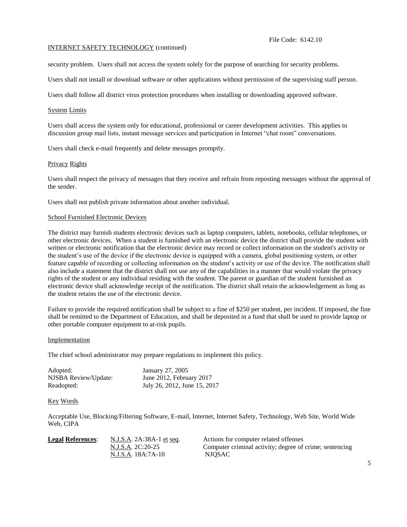#### File Code: 6142.10

#### INTERNET SAFETY TECHNOLOGY (continued)

security problem. Users shall not access the system solely for the purpose of searching for security problems.

Users shall not install or download software or other applications without permission of the supervising staff person.

Users shall follow all district virus protection procedures when installing or downloading approved software.

### System Limits

Users shall access the system only for educational, professional or career development activities. This applies to discussion group mail lists, instant message services and participation in Internet "chat room" conversations.

Users shall check e-mail frequently and delete messages promptly.

#### Privacy Rights

Users shall respect the privacy of messages that they receive and refrain from reposting messages without the approval of the sender.

Users shall not publish private information about another individual.

#### School Furnished Electronic Devices

The district may furnish students electronic devices such as laptop computers, tablets, notebooks, cellular telephones, or other electronic devices. When a student is furnished with an electronic device the district shall provide the student with written or electronic notification that the electronic device may record or collect information on the student's activity or the student's use of the device if the electronic device is equipped with a camera, global positioning system, or other feature capable of recording or collecting information on the student's activity or use of the device. The notification shall also include a statement that the district shall not use any of the capabilities in a manner that would violate the privacy rights of the student or any individual residing with the student. The parent or guardian of the student furnished an electronic device shall acknowledge receipt of the notification. The district shall retain the acknowledgement as long as the student retains the use of the electronic device.

Failure to provide the required notification shall be subject to a fine of \$250 per student, per incident. If imposed, the fine shall be remitted to the Department of Education, and shall be deposited in a fund that shall be used to provide laptop or other portable computer equipment to at-risk pupils.

## Implementation

The chief school administrator may prepare regulations to implement this policy.

| Adopted:             | January 27, 2005             |
|----------------------|------------------------------|
| NJSBA Review/Update: | June 2012, February 2017     |
| Readopted:           | July 26, 2012, June 15, 2017 |

#### Key Words

Acceptable Use, Blocking/Filtering Software, E-mail, Internet, Internet Safety, Technology, Web Site, World Wide Web, CIPA

| <b>Legal References:</b> | N.J.S.A. 2A:38A-1 et seq. | Actions for computer related offenses                   |
|--------------------------|---------------------------|---------------------------------------------------------|
|                          | N.J.S.A. 2C:20-25         | Computer criminal activity; degree of crime; sentencing |
|                          | N.J.S.A. 18A:7A-10        | NJOSAC                                                  |